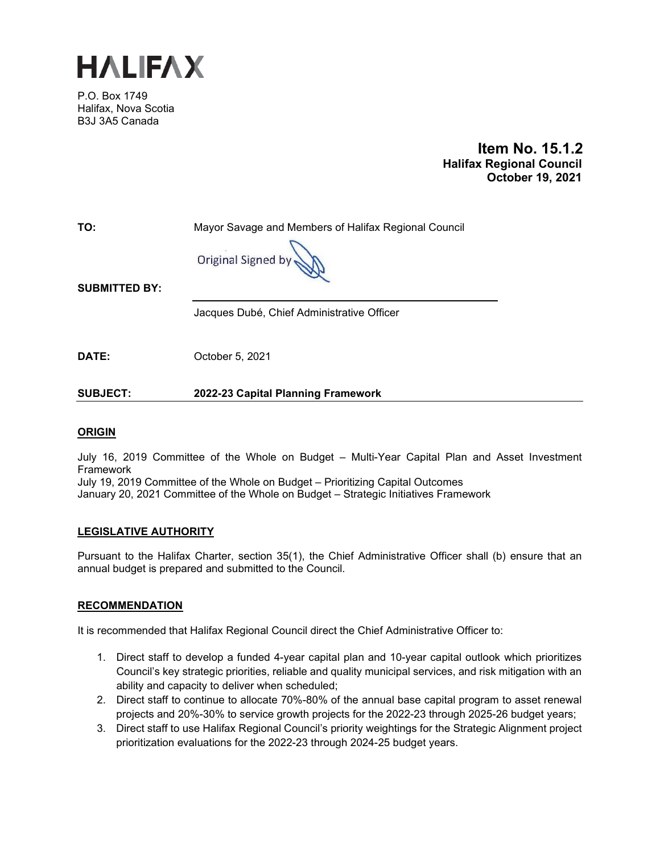

P.O. Box 1749 Halifax, Nova Scotia B3J 3A5 Canada

> **Item No. 15.1.2 Halifax Regional Council October 19, 2021**

**TO:** Mayor Savage and Members of Halifax Regional Council

**Original Signed** 

**SUBMITTED BY:**

Jacques Dubé, Chief Administrative Officer

**DATE:** October 5, 2021

**SUBJECT: 2022-23 Capital Planning Framework**

# **ORIGIN**

July 16, 2019 Committee of the Whole on Budget – Multi-Year Capital Plan and Asset Investment Framework

July 19, 2019 Committee of the Whole on Budget – Prioritizing Capital Outcomes January 20, 2021 Committee of the Whole on Budget – Strategic Initiatives Framework

# **LEGISLATIVE AUTHORITY**

Pursuant to the Halifax Charter, section 35(1), the Chief Administrative Officer shall (b) ensure that an annual budget is prepared and submitted to the Council.

# **RECOMMENDATION**

It is recommended that Halifax Regional Council direct the Chief Administrative Officer to:

- 1. Direct staff to develop a funded 4-year capital plan and 10-year capital outlook which prioritizes Council's key strategic priorities, reliable and quality municipal services, and risk mitigation with an ability and capacity to deliver when scheduled;
- 2. Direct staff to continue to allocate 70%-80% of the annual base capital program to asset renewal projects and 20%-30% to service growth projects for the 2022-23 through 2025-26 budget years;
- 3. Direct staff to use Halifax Regional Council's priority weightings for the Strategic Alignment project prioritization evaluations for the 2022-23 through 2024-25 budget years.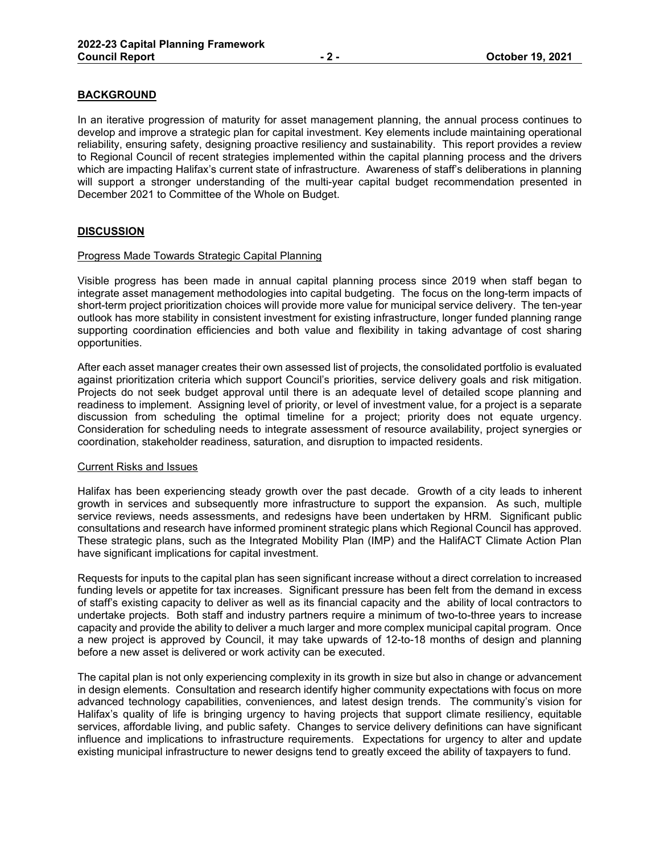# **BACKGROUND**

In an iterative progression of maturity for asset management planning, the annual process continues to develop and improve a strategic plan for capital investment. Key elements include maintaining operational reliability, ensuring safety, designing proactive resiliency and sustainability. This report provides a review to Regional Council of recent strategies implemented within the capital planning process and the drivers which are impacting Halifax's current state of infrastructure. Awareness of staff's deliberations in planning will support a stronger understanding of the multi-year capital budget recommendation presented in December 2021 to Committee of the Whole on Budget.

# **DISCUSSION**

### Progress Made Towards Strategic Capital Planning

Visible progress has been made in annual capital planning process since 2019 when staff began to integrate asset management methodologies into capital budgeting. The focus on the long-term impacts of short-term project prioritization choices will provide more value for municipal service delivery. The ten-year outlook has more stability in consistent investment for existing infrastructure, longer funded planning range supporting coordination efficiencies and both value and flexibility in taking advantage of cost sharing opportunities.

After each asset manager creates their own assessed list of projects, the consolidated portfolio is evaluated against prioritization criteria which support Council's priorities, service delivery goals and risk mitigation. Projects do not seek budget approval until there is an adequate level of detailed scope planning and readiness to implement. Assigning level of priority, or level of investment value, for a project is a separate discussion from scheduling the optimal timeline for a project; priority does not equate urgency. Consideration for scheduling needs to integrate assessment of resource availability, project synergies or coordination, stakeholder readiness, saturation, and disruption to impacted residents.

#### Current Risks and Issues

Halifax has been experiencing steady growth over the past decade. Growth of a city leads to inherent growth in services and subsequently more infrastructure to support the expansion. As such, multiple service reviews, needs assessments, and redesigns have been undertaken by HRM. Significant public consultations and research have informed prominent strategic plans which Regional Council has approved. These strategic plans, such as the Integrated Mobility Plan (IMP) and the HalifACT Climate Action Plan have significant implications for capital investment.

Requests for inputs to the capital plan has seen significant increase without a direct correlation to increased funding levels or appetite for tax increases. Significant pressure has been felt from the demand in excess of staff's existing capacity to deliver as well as its financial capacity and the ability of local contractors to undertake projects. Both staff and industry partners require a minimum of two-to-three years to increase capacity and provide the ability to deliver a much larger and more complex municipal capital program. Once a new project is approved by Council, it may take upwards of 12-to-18 months of design and planning before a new asset is delivered or work activity can be executed.

The capital plan is not only experiencing complexity in its growth in size but also in change or advancement in design elements. Consultation and research identify higher community expectations with focus on more advanced technology capabilities, conveniences, and latest design trends. The community's vision for Halifax's quality of life is bringing urgency to having projects that support climate resiliency, equitable services, affordable living, and public safety. Changes to service delivery definitions can have significant influence and implications to infrastructure requirements. Expectations for urgency to alter and update existing municipal infrastructure to newer designs tend to greatly exceed the ability of taxpayers to fund.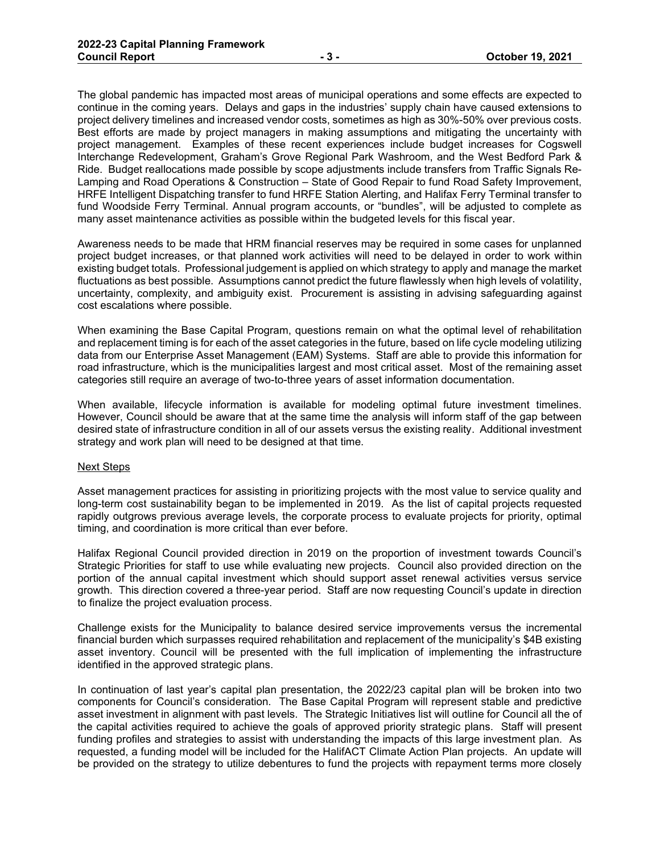The global pandemic has impacted most areas of municipal operations and some effects are expected to continue in the coming years. Delays and gaps in the industries' supply chain have caused extensions to project delivery timelines and increased vendor costs, sometimes as high as 30%-50% over previous costs. Best efforts are made by project managers in making assumptions and mitigating the uncertainty with project management. Examples of these recent experiences include budget increases for Cogswell Interchange Redevelopment, Graham's Grove Regional Park Washroom, and the West Bedford Park & Ride. Budget reallocations made possible by scope adjustments include transfers from Traffic Signals Re-Lamping and Road Operations & Construction - State of Good Repair to fund Road Safety Improvement, HRFE Intelligent Dispatching transfer to fund HRFE Station Alerting, and Halifax Ferry Terminal transfer to fund Woodside Ferry Terminal. Annual program accounts, or "bundles", will be adjusted to complete as many asset maintenance activities as possible within the budgeted levels for this fiscal year.

Awareness needs to be made that HRM financial reserves may be required in some cases for unplanned project budget increases, or that planned work activities will need to be delayed in order to work within existing budget totals. Professional judgement is applied on which strategy to apply and manage the market fluctuations as best possible. Assumptions cannot predict the future flawlessly when high levels of volatility, uncertainty, complexity, and ambiguity exist. Procurement is assisting in advising safeguarding against cost escalations where possible.

When examining the Base Capital Program, questions remain on what the optimal level of rehabilitation and replacement timing is for each of the asset categories in the future, based on life cycle modeling utilizing data from our Enterprise Asset Management (EAM) Systems. Staff are able to provide this information for road infrastructure, which is the municipalities largest and most critical asset. Most of the remaining asset categories still require an average of two-to-three years of asset information documentation.

When available, lifecycle information is available for modeling optimal future investment timelines. However, Council should be aware that at the same time the analysis will inform staff of the gap between desired state of infrastructure condition in all of our assets versus the existing reality. Additional investment strategy and work plan will need to be designed at that time.

#### Next Steps

Asset management practices for assisting in prioritizing projects with the most value to service quality and long-term cost sustainability began to be implemented in 2019. As the list of capital projects requested rapidly outgrows previous average levels, the corporate process to evaluate projects for priority, optimal timing, and coordination is more critical than ever before.

Halifax Regional Council provided direction in 2019 on the proportion of investment towards Council's Strategic Priorities for staff to use while evaluating new projects. Council also provided direction on the portion of the annual capital investment which should support asset renewal activities versus service growth. This direction covered a three-year period. Staff are now requesting Council's update in direction to finalize the project evaluation process.

Challenge exists for the Municipality to balance desired service improvements versus the incremental financial burden which surpasses required rehabilitation and replacement of the municipality's \$4B existing asset inventory. Council will be presented with the full implication of implementing the infrastructure identified in the approved strategic plans.

In continuation of last year's capital plan presentation, the 2022/23 capital plan will be broken into two components for Council's consideration. The Base Capital Program will represent stable and predictive asset investment in alignment with past levels. The Strategic Initiatives list will outline for Council all the of the capital activities required to achieve the goals of approved priority strategic plans. Staff will present funding profiles and strategies to assist with understanding the impacts of this large investment plan. As requested, a funding model will be included for the HalifACT Climate Action Plan projects. An update will be provided on the strategy to utilize debentures to fund the projects with repayment terms more closely